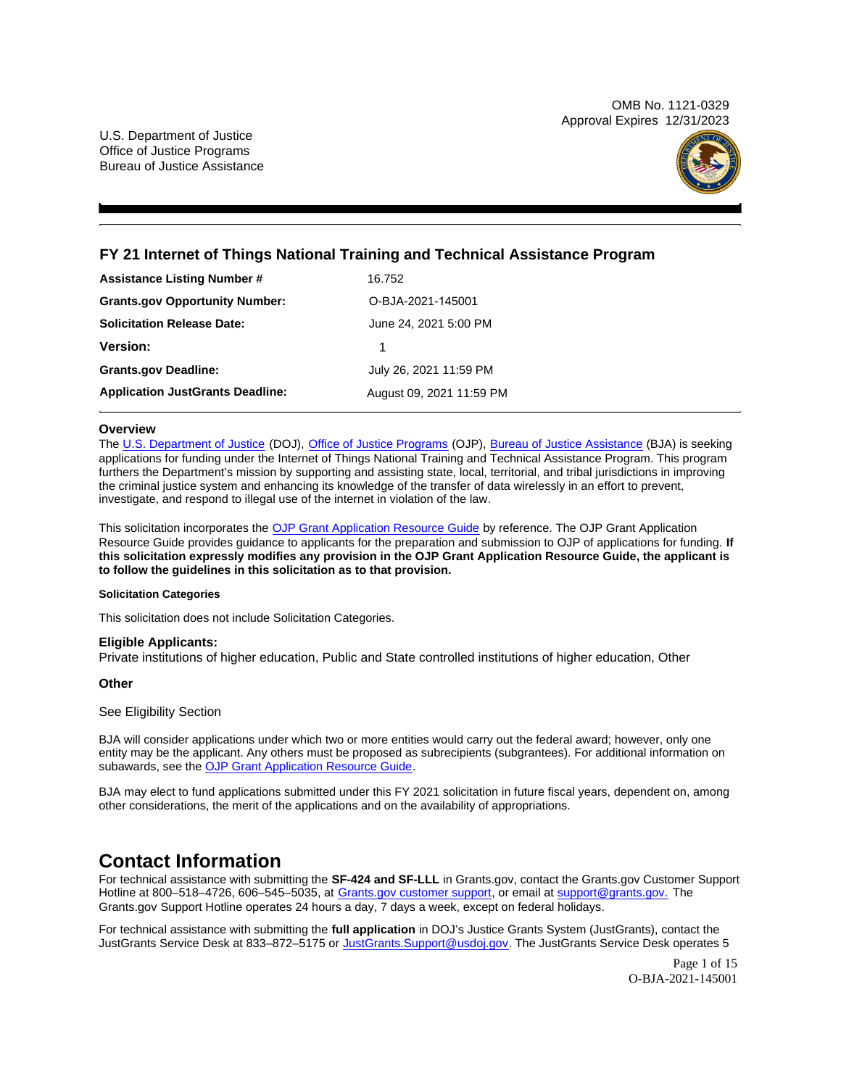OMB No. 1121-0329 Approval Expires 12/31/2023



# <span id="page-0-0"></span>**FY 21 Internet of Things National Training and Technical Assistance Program**

| <b>Assistance Listing Number #</b>      | 16.752                   |
|-----------------------------------------|--------------------------|
| <b>Grants.gov Opportunity Number:</b>   | O-BJA-2021-145001        |
| <b>Solicitation Release Date:</b>       | June 24, 2021 5:00 PM    |
| <b>Version:</b>                         | 1                        |
| <b>Grants.gov Deadline:</b>             | July 26, 2021 11:59 PM   |
| <b>Application JustGrants Deadline:</b> | August 09, 2021 11:59 PM |

#### **Overview**

The [U.S. Department of Justice](https://www.usdoj.gov/) (DOJ), [Office of Justice Programs](https://www.ojp.usdoj.gov/) (OJP), [Bureau of Justice Assistance](https://bja.ojp.gov/) (BJA) is seeking applications for funding under the Internet of Things National Training and Technical Assistance Program. This program furthers the Department's mission by supporting and assisting state, local, territorial, and tribal jurisdictions in improving the criminal justice system and enhancing its knowledge of the transfer of data wirelessly in an effort to prevent, investigate, and respond to illegal use of the internet in violation of the law.

This solicitation incorporates the [OJP Grant Application Resource Guide](https://www.ojp.gov/funding/Apply/Resources/Grant-App-Resource-Guide.htm) by reference. The OJP Grant Application Resource Guide provides guidance to applicants for the preparation and submission to OJP of applications for funding. **If this solicitation expressly modifies any provision in the OJP Grant Application Resource Guide, the applicant is to follow the guidelines in this solicitation as to that provision.** 

#### **Solicitation Categories**

This solicitation does not include Solicitation Categories.

### **Eligible Applicants:**

Private institutions of higher education, Public and State controlled institutions of higher education, Other

### **Other**

#### See Eligibility Section

BJA will consider applications under which two or more entities would carry out the federal award; however, only one entity may be the applicant. Any others must be proposed as subrecipients (subgrantees). For additional information on subawards, see the [OJP Grant Application Resource Guide.](https://www.ojp.gov/funding/Apply/Resources/Grant-App-Resource-Guide.htm)

BJA may elect to fund applications submitted under this FY 2021 solicitation in future fiscal years, dependent on, among other considerations, the merit of the applications and on the availability of appropriations.

# **Contact Information**

For technical assistance with submitting the **SF-424 and SF-LLL** in [Grants.gov](https://Grants.gov), contact the [Grants.gov](https://Grants.gov) Customer Support Hotline at 800-518-4726, 606-545-5035, at [Grants.gov customer support,](https://www.grants.gov/web/grants/support.html) or email at [support@grants.gov.](mailto:support@grants.gov) The [Grants.gov](https://Grants.gov) Support Hotline operates 24 hours a day, 7 days a week, except on federal holidays.

For technical assistance with submitting the **full application** in DOJ's Justice Grants System (JustGrants), contact the JustGrants Service Desk at 833–872–5175 or [JustGrants.Support@usdoj.gov.](mailto:JustGrants.Support@usdoj.gov) The JustGrants Service Desk operates 5

> Page 1 of 15 O-BJA-2021-145001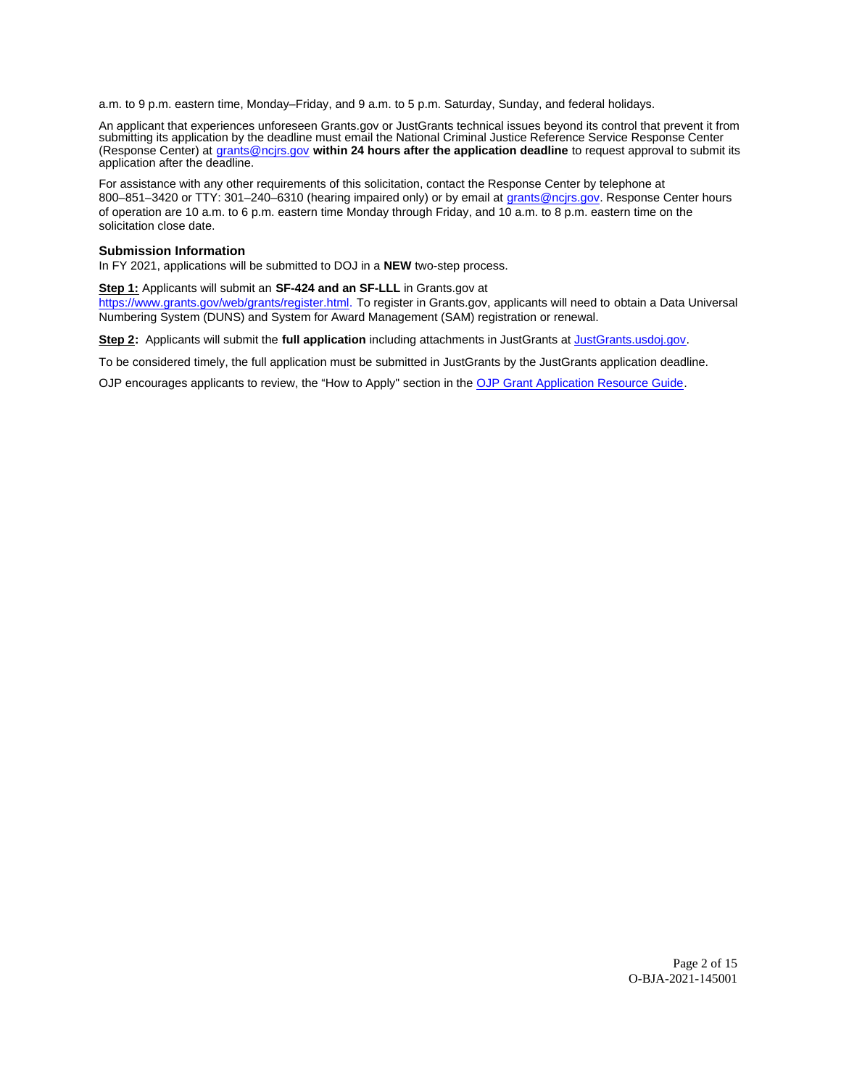a.m. to 9 p.m. eastern time, Monday–Friday, and 9 a.m. to 5 p.m. Saturday, Sunday, and federal holidays.

An applicant that experiences unforeseen [Grants.gov](https://Grants.gov) or JustGrants technical issues beyond its control that prevent it from submitting its application by the deadline must email the National Criminal Justice Reference Service Response Center (Response Center) at [grants@ncjrs.gov](mailto:grants@ncjrs.gov) **within 24 hours after the application deadline** to request approval to submit its application after the deadline.

For assistance with any other requirements of this solicitation, contact the Response Center by telephone at 800–851–3420 or TTY: 301–240–6310 (hearing impaired only) or by email at [grants@ncjrs.gov.](mailto:grants@ncjrs.gov) Response Center hours of operation are 10 a.m. to 6 p.m. eastern time Monday through Friday, and 10 a.m. to 8 p.m. eastern time on the solicitation close date.

#### **Submission Information**

In FY 2021, applications will be submitted to DOJ in a **NEW** two-step process.

#### **Step 1:** Applicants will submit an **SF-424 and an SF-LLL** in [Grants.gov](https://Grants.gov) at

[https://www.grants.gov/web/grants/register.html.](https://www.grants.gov/web/grants/register.html) To register in [Grants.gov,](https://Grants.gov) applicants will need to obtain a Data Universal Numbering System (DUNS) and System for Award Management (SAM) registration or renewal.

**Step 2:** Applicants will submit the **full application** including attachments in JustGrants at [JustGrants.usdoj.gov.](https://justicegrants.usdoj.gov/)

To be considered timely, the full application must be submitted in JustGrants by the JustGrants application deadline.

OJP encourages applicants to review, the "How to Apply" section in the [OJP Grant Application Resource Guide.](https://www.ojp.gov/funding/apply/ojp-grant-application-resource-guide#apply)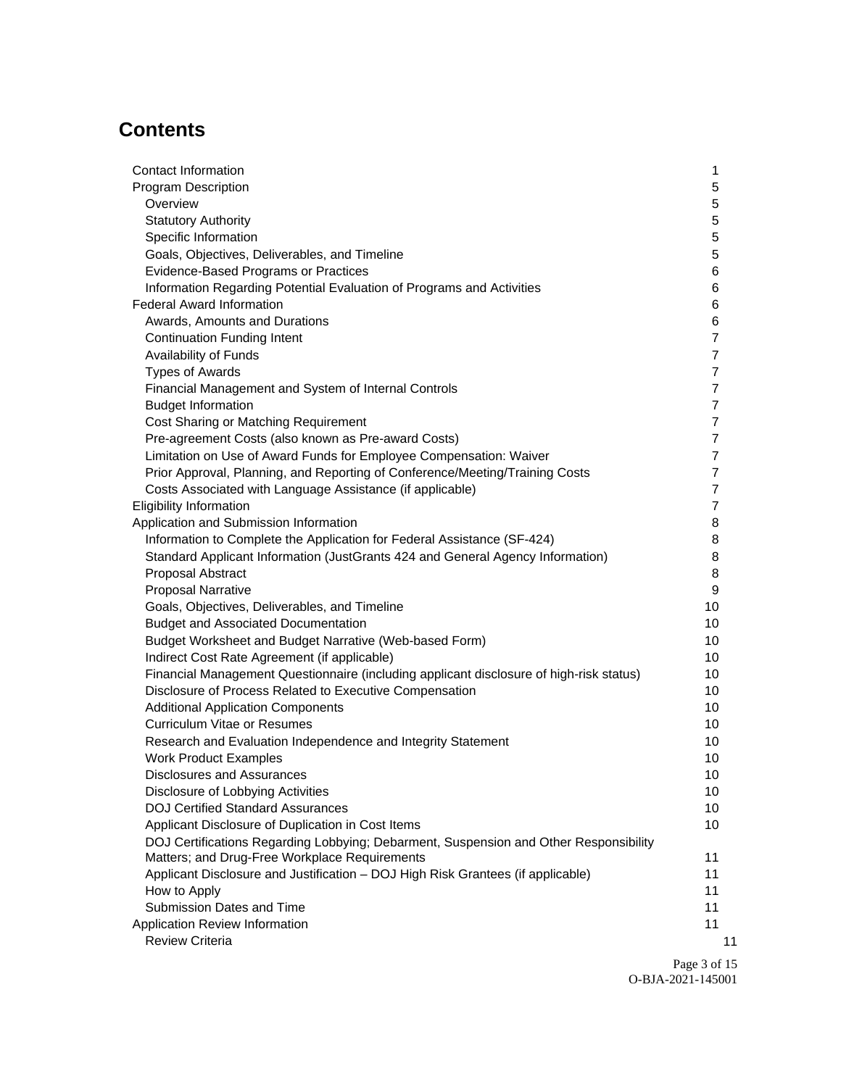# **Contents**

| <b>Contact Information</b>                                                              | 1              |
|-----------------------------------------------------------------------------------------|----------------|
| <b>Program Description</b>                                                              | 5              |
| Overview                                                                                | 5              |
| <b>Statutory Authority</b>                                                              | 5              |
| Specific Information                                                                    | 5              |
| Goals, Objectives, Deliverables, and Timeline                                           | 5              |
| Evidence-Based Programs or Practices                                                    | 6              |
| Information Regarding Potential Evaluation of Programs and Activities                   | 6              |
| <b>Federal Award Information</b>                                                        | 6              |
| Awards, Amounts and Durations                                                           | 6              |
| <b>Continuation Funding Intent</b>                                                      | $\overline{7}$ |
| Availability of Funds                                                                   | $\overline{7}$ |
| <b>Types of Awards</b>                                                                  | $\overline{7}$ |
| Financial Management and System of Internal Controls                                    | $\overline{7}$ |
| <b>Budget Information</b>                                                               | $\overline{7}$ |
| Cost Sharing or Matching Requirement                                                    | $\overline{7}$ |
| Pre-agreement Costs (also known as Pre-award Costs)                                     | $\overline{7}$ |
| Limitation on Use of Award Funds for Employee Compensation: Waiver                      | $\overline{7}$ |
| Prior Approval, Planning, and Reporting of Conference/Meeting/Training Costs            | $\overline{7}$ |
| Costs Associated with Language Assistance (if applicable)                               | $\overline{7}$ |
| <b>Eligibility Information</b>                                                          | $\overline{7}$ |
| Application and Submission Information                                                  | 8              |
| Information to Complete the Application for Federal Assistance (SF-424)                 | 8              |
| Standard Applicant Information (JustGrants 424 and General Agency Information)          | 8              |
| Proposal Abstract                                                                       | 8              |
| <b>Proposal Narrative</b>                                                               | 9              |
| Goals, Objectives, Deliverables, and Timeline                                           | 10             |
| <b>Budget and Associated Documentation</b>                                              | 10             |
| Budget Worksheet and Budget Narrative (Web-based Form)                                  | 10             |
| Indirect Cost Rate Agreement (if applicable)                                            | 10             |
| Financial Management Questionnaire (including applicant disclosure of high-risk status) | 10             |
| Disclosure of Process Related to Executive Compensation                                 | 10             |
| <b>Additional Application Components</b>                                                | 10             |
| <b>Curriculum Vitae or Resumes</b>                                                      | 10             |
| Research and Evaluation Independence and Integrity Statement                            | 10             |
| <b>Work Product Examples</b>                                                            | 10             |
| Disclosures and Assurances                                                              | 10             |
| Disclosure of Lobbying Activities                                                       | 10             |
| <b>DOJ Certified Standard Assurances</b>                                                | 10             |
| Applicant Disclosure of Duplication in Cost Items                                       | 10             |
| DOJ Certifications Regarding Lobbying; Debarment, Suspension and Other Responsibility   |                |
| Matters; and Drug-Free Workplace Requirements                                           | 11             |
| Applicant Disclosure and Justification - DOJ High Risk Grantees (if applicable)         | 11             |
| How to Apply                                                                            | 11             |
| Submission Dates and Time                                                               | 11             |
| Application Review Information                                                          | 11             |
| <b>Review Criteria</b>                                                                  | 11             |

Page 3 of 15 O-BJA-2021-145001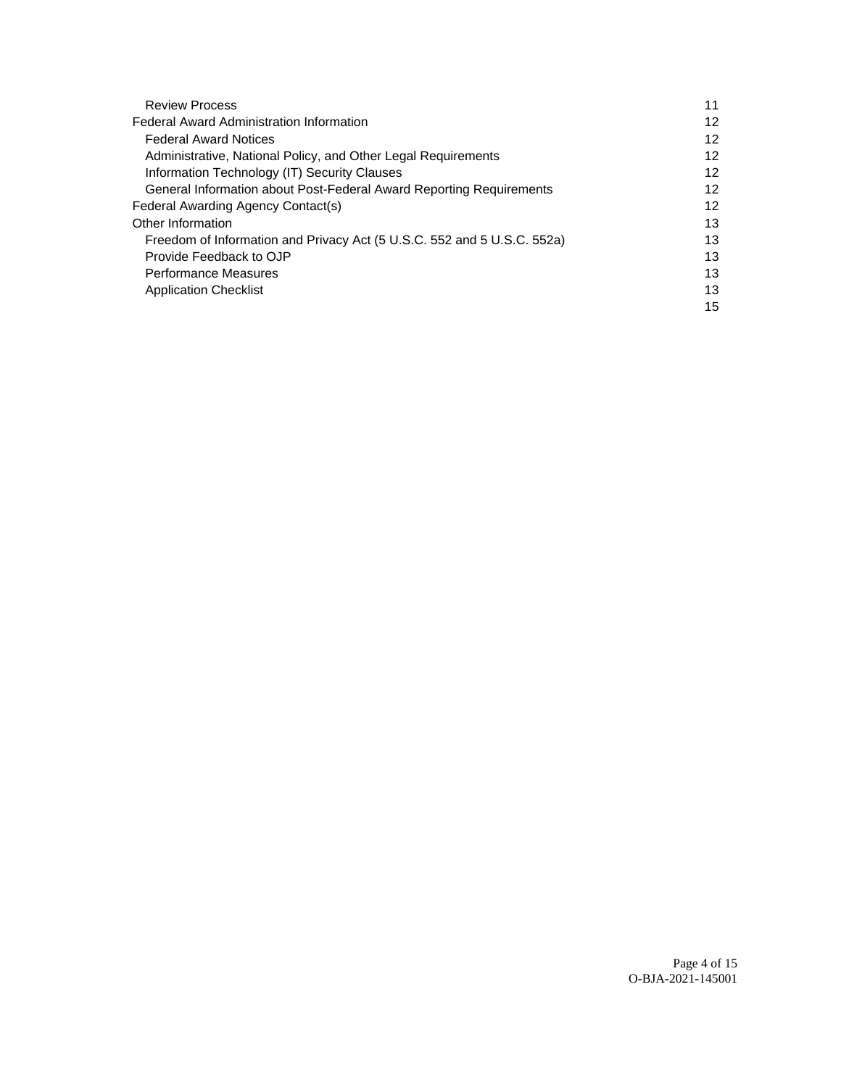| <b>Review Process</b>                                                   | 11 |
|-------------------------------------------------------------------------|----|
| <b>Federal Award Administration Information</b>                         | 12 |
| <b>Federal Award Notices</b>                                            | 12 |
| Administrative, National Policy, and Other Legal Requirements           | 12 |
| Information Technology (IT) Security Clauses                            | 12 |
| General Information about Post-Federal Award Reporting Requirements     | 12 |
| Federal Awarding Agency Contact(s)                                      | 12 |
| Other Information                                                       | 13 |
| Freedom of Information and Privacy Act (5 U.S.C. 552 and 5 U.S.C. 552a) | 13 |
| Provide Feedback to OJP                                                 | 13 |
| <b>Performance Measures</b>                                             | 13 |
| <b>Application Checklist</b>                                            | 13 |
|                                                                         | 15 |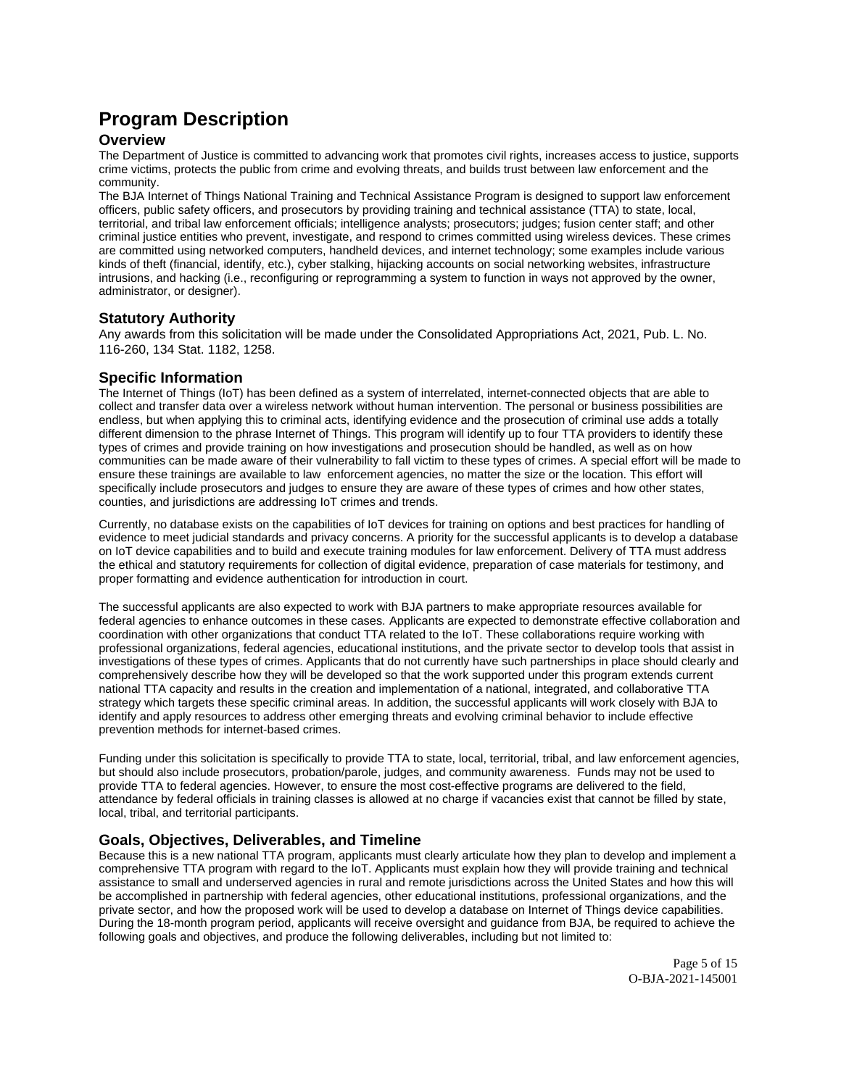# <span id="page-4-0"></span>**Program Description**

## **Overview**

The Department of Justice is committed to advancing work that promotes civil rights, increases access to justice, supports crime victims, protects the public from crime and evolving threats, and builds trust between law enforcement and the community.

The BJA Internet of Things National Training and Technical Assistance Program is designed to support law enforcement officers, public safety officers, and prosecutors by providing training and technical assistance (TTA) to state, local, territorial, and tribal law enforcement officials; intelligence analysts; prosecutors; judges; fusion center staff; and other criminal justice entities who prevent, investigate, and respond to crimes committed using wireless devices. These crimes are committed using networked computers, handheld devices, and internet technology; some examples include various kinds of theft (financial, identify, etc.), cyber stalking, hijacking accounts on social networking websites, infrastructure intrusions, and hacking (i.e., reconfiguring or reprogramming a system to function in ways not approved by the owner, administrator, or designer).

## **Statutory Authority**

Any awards from this solicitation will be made under the Consolidated Appropriations Act, 2021, Pub. L. No. 116-260, 134 Stat. 1182, 1258.

## **Specific Information**

The Internet of Things (IoT) has been defined as a system of interrelated, internet-connected objects that are able to collect and transfer data over a wireless network without human intervention. The personal or business possibilities are endless, but when applying this to criminal acts, identifying evidence and the prosecution of criminal use adds a totally different dimension to the phrase Internet of Things. This program will identify up to four TTA providers to identify these types of crimes and provide training on how investigations and prosecution should be handled, as well as on how communities can be made aware of their vulnerability to fall victim to these types of crimes. A special effort will be made to ensure these trainings are available to law enforcement agencies, no matter the size or the location. This effort will specifically include prosecutors and judges to ensure they are aware of these types of crimes and how other states, counties, and jurisdictions are addressing IoT crimes and trends.

Currently, no database exists on the capabilities of IoT devices for training on options and best practices for handling of evidence to meet judicial standards and privacy concerns. A priority for the successful applicants is to develop a database on IoT device capabilities and to build and execute training modules for law enforcement. Delivery of TTA must address the ethical and statutory requirements for collection of digital evidence, preparation of case materials for testimony, and proper formatting and evidence authentication for introduction in court.

The successful applicants are also expected to work with BJA partners to make appropriate resources available for federal agencies to enhance outcomes in these cases. Applicants are expected to demonstrate effective collaboration and coordination with other organizations that conduct TTA related to the IoT. These collaborations require working with professional organizations, federal agencies, educational institutions, and the private sector to develop tools that assist in investigations of these types of crimes. Applicants that do not currently have such partnerships in place should clearly and comprehensively describe how they will be developed so that the work supported under this program extends current national TTA capacity and results in the creation and implementation of a national, integrated, and collaborative TTA strategy which targets these specific criminal areas. In addition, the successful applicants will work closely with BJA to identify and apply resources to address other emerging threats and evolving criminal behavior to include effective prevention methods for internet-based crimes.

Funding under this solicitation is specifically to provide TTA to state, local, territorial, tribal, and law enforcement agencies, but should also include prosecutors, probation/parole, judges, and community awareness. Funds may not be used to provide TTA to federal agencies. However, to ensure the most cost-effective programs are delivered to the field, attendance by federal officials in training classes is allowed at no charge if vacancies exist that cannot be filled by state, local, tribal, and territorial participants.

## **Goals, Objectives, Deliverables, and Timeline**

Because this is a new national TTA program, applicants must clearly articulate how they plan to develop and implement a comprehensive TTA program with regard to the IoT. Applicants must explain how they will provide training and technical assistance to small and underserved agencies in rural and remote jurisdictions across the United States and how this will be accomplished in partnership with federal agencies, other educational institutions, professional organizations, and the private sector, and how the proposed work will be used to develop a database on Internet of Things device capabilities. During the 18-month program period, applicants will receive oversight and guidance from BJA, be required to achieve the following goals and objectives, and produce the following deliverables, including but not limited to:

> Page 5 of 15 O-BJA-2021-145001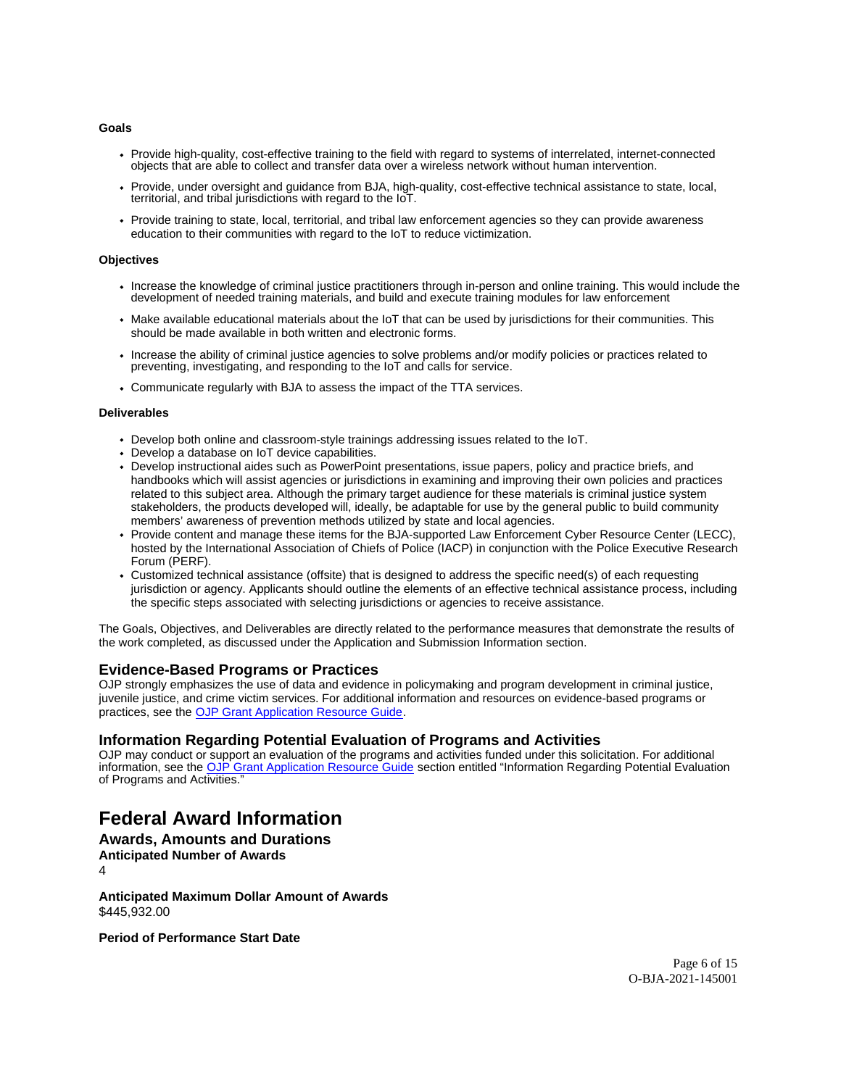#### <span id="page-5-0"></span>**Goals**

- Provide high-quality, cost-effective training to the field with regard to systems of interrelated, internet-connected objects that are able to collect and transfer data over a wireless network without human intervention.
- Provide, under oversight and guidance from BJA, high-quality, cost-effective technical assistance to state, local, territorial, and tribal jurisdictions with regard to the IoT.
- Provide training to state, local, territorial, and tribal law enforcement agencies so they can provide awareness education to their communities with regard to the IoT to reduce victimization.

#### **Objectives**

- Increase the knowledge of criminal justice practitioners through in-person and online training. This would include the development of needed training materials, and build and execute training modules for law enforcement
- Make available educational materials about the IoT that can be used by jurisdictions for their communities. This should be made available in both written and electronic forms.
- Increase the ability of criminal justice agencies to solve problems and/or modify policies or practices related to preventing, investigating, and responding to the IoT and calls for service.
- Communicate regularly with BJA to assess the impact of the TTA services.

#### **Deliverables**

- Develop both online and classroom-style trainings addressing issues related to the IoT.
- Develop a database on IoT device capabilities.
- Develop instructional aides such as PowerPoint presentations, issue papers, policy and practice briefs, and handbooks which will assist agencies or jurisdictions in examining and improving their own policies and practices related to this subject area. Although the primary target audience for these materials is criminal justice system stakeholders, the products developed will, ideally, be adaptable for use by the general public to build community members' awareness of prevention methods utilized by state and local agencies.
- Provide content and manage these items for the BJA-supported Law Enforcement Cyber Resource Center (LECC), hosted by the International Association of Chiefs of Police (IACP) in conjunction with the Police Executive Research Forum (PERF).
- Customized technical assistance (offsite) that is designed to address the specific need(s) of each requesting jurisdiction or agency. Applicants should outline the elements of an effective technical assistance process, including the specific steps associated with selecting jurisdictions or agencies to receive assistance.

The Goals, Objectives, and Deliverables are directly related to the performance measures that demonstrate the results of the work completed, as discussed under the Application and Submission Information section.

## **Evidence-Based Programs or Practices**

OJP strongly emphasizes the use of data and evidence in policymaking and program development in criminal justice, juvenile justice, and crime victim services. For additional information and resources on evidence-based programs or practices, see the [OJP Grant Application Resource Guide.](https://www.ojp.gov/funding/apply/ojp-grant-application-resource-guide#evidence-based)

### **Information Regarding Potential Evaluation of Programs and Activities**

OJP may conduct or support an evaluation of the programs and activities funded under this solicitation. For additional information, see the [OJP Grant Application Resource Guide](https://www.ojp.gov/funding/apply/ojp-grant-application-resource-guide#potential-evaluation) section entitled "Information Regarding Potential Evaluation of Programs and Activities."

# **Federal Award Information**

### **Awards, Amounts and Durations Anticipated Number of Awards**

4

**Anticipated Maximum Dollar Amount of Awards**  [\\$445,932.00](https://445,932.00) 

**Period of Performance Start Date**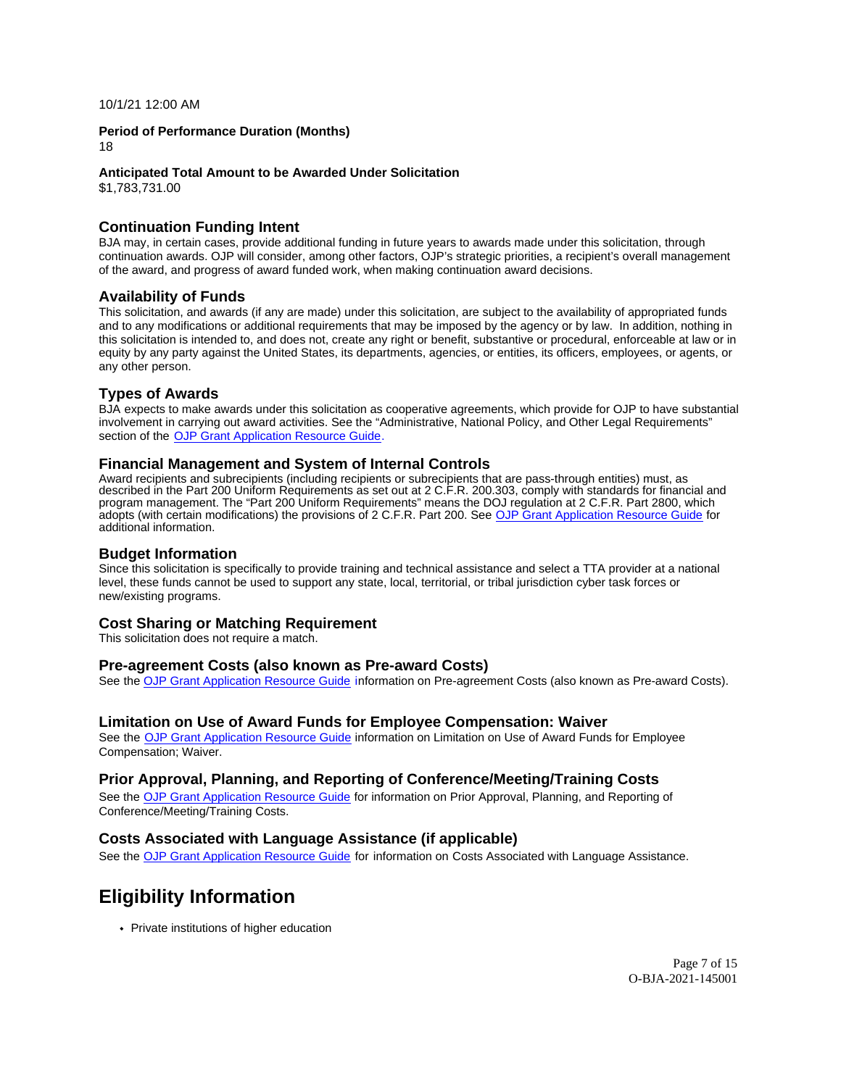<span id="page-6-0"></span>10/1/21 12:00 AM

#### **Period of Performance Duration (Months)**

18

#### **Anticipated Total Amount to be Awarded Under Solicitation**

[\\$1,783,731.00](https://1,783,731.00) 

### **Continuation Funding Intent**

BJA may, in certain cases, provide additional funding in future years to awards made under this solicitation, through continuation awards. OJP will consider, among other factors, OJP's strategic priorities, a recipient's overall management of the award, and progress of award funded work, when making continuation award decisions.

### **Availability of Funds**

This solicitation, and awards (if any are made) under this solicitation, are subject to the availability of appropriated funds and to any modifications or additional requirements that may be imposed by the agency or by law. In addition, nothing in this solicitation is intended to, and does not, create any right or benefit, substantive or procedural, enforceable at law or in equity by any party against the United States, its departments, agencies, or entities, its officers, employees, or agents, or any other person.

## **Types of Awards**

BJA expects to make awards under this solicitation as cooperative agreements, which provide for OJP to have substantial involvement in carrying out award activities. See the "Administrative, National Policy, and Other Legal Requirements" section of the [OJP Grant Application Resource Guide.](https://www.ojp.gov/funding/apply/ojp-grant-application-resource-guide#administrative)

## **Financial Management and System of Internal Controls**

Award recipients and subrecipients (including recipients or subrecipients that are pass-through entities) must, as described in the Part 200 Uniform Requirements as set out at 2 C.F.R. 200.303, comply with standards for financial and program management. The "Part 200 Uniform Requirements" means the DOJ regulation at 2 C.F.R. Part 2800, which adopts (with certain modifications) the provisions of 2 C.F.R. Part 200. See [OJP Grant Application Resource Guide](https://www.ojp.gov/funding/apply/ojp-grant-application-resource-guide#fm-internal-controls) for additional information.

## **Budget Information**

Since this solicitation is specifically to provide training and technical assistance and select a TTA provider at a national level, these funds cannot be used to support any state, local, territorial, or tribal jurisdiction cyber task forces or new/existing programs.

### **Cost Sharing or Matching Requirement**

This solicitation does not require a match.

### **Pre-agreement Costs (also known as Pre-award Costs)**

See the [OJP Grant Application Resource Guide](https://www.ojp.gov/funding/apply/ojp-grant-application-resource-guide#pre-agreement-costs) information on Pre-agreement Costs (also known as Pre-award Costs).

### **Limitation on Use of Award Funds for Employee Compensation: Waiver**

See the [OJP Grant Application Resource Guide](https://www.ojp.gov/funding/apply/ojp-grant-application-resource-guide#limitation-use-award) information on Limitation on Use of Award Funds for Employee Compensation; Waiver.

### **Prior Approval, Planning, and Reporting of Conference/Meeting/Training Costs**

See the [OJP Grant Application Resource Guide](https://www.ojp.gov/funding/apply/ojp-grant-application-resource-guide#prior-approval) for information on Prior Approval, Planning, and Reporting of Conference/Meeting/Training Costs.

## **Costs Associated with Language Assistance (if applicable)**

See the [OJP Grant Application Resource Guide](https://www.ojp.gov/funding/apply/ojp-grant-application-resource-guide#costs-associated) for information on Costs Associated with Language Assistance.

# **Eligibility Information**

• Private institutions of higher education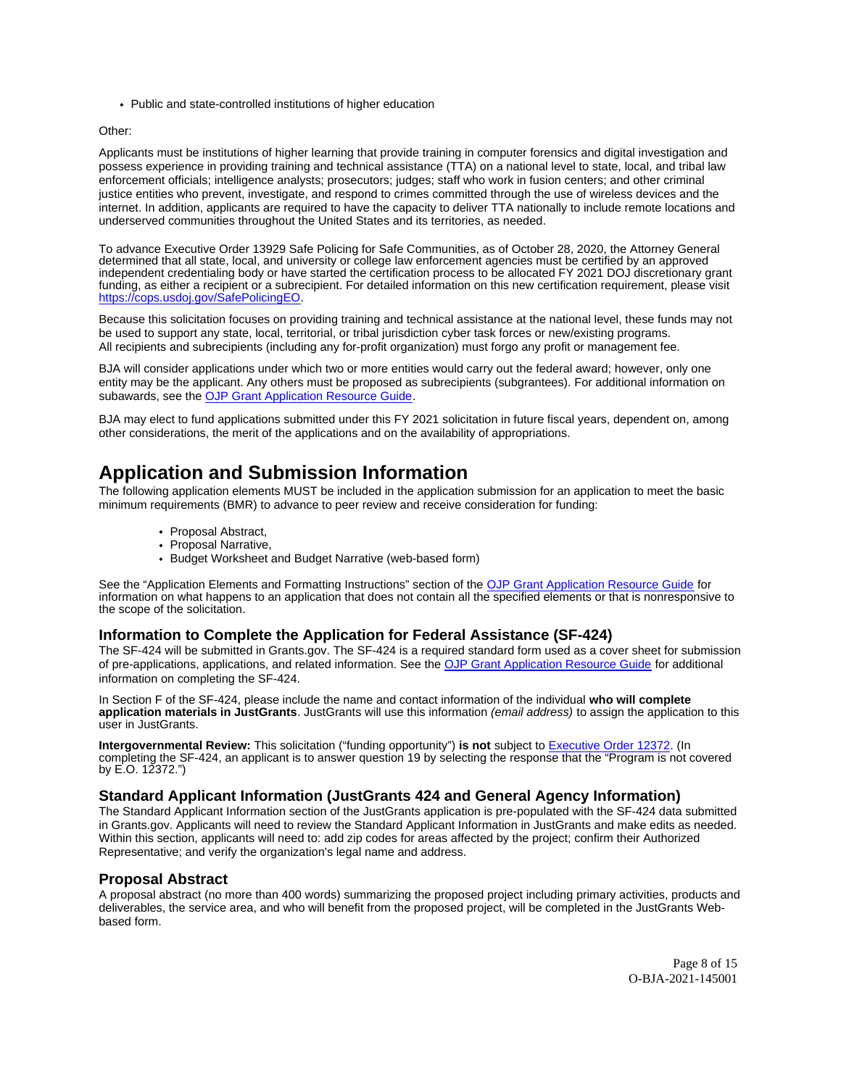<span id="page-7-0"></span>Public and state-controlled institutions of higher education

#### Other:

Applicants must be institutions of higher learning that provide training in computer forensics and digital investigation and possess experience in providing training and technical assistance (TTA) on a national level to state, local, and tribal law enforcement officials; intelligence analysts; prosecutors; judges; staff who work in fusion centers; and other criminal justice entities who prevent, investigate, and respond to crimes committed through the use of wireless devices and the internet. In addition, applicants are required to have the capacity to deliver TTA nationally to include remote locations and underserved communities throughout the United States and its territories, as needed.

To advance Executive Order 13929 Safe Policing for Safe Communities, as of October 28, 2020, the Attorney General determined that all state, local, and university or college law enforcement agencies must be certified by an approved independent credentialing body or have started the certification process to be allocated FY 2021 DOJ discretionary grant funding, as either a recipient or a subrecipient. For detailed information on this new certification requirement, please visit [https://cops.usdoj.gov/SafePolicingEO.](https://cops.usdoj.gov/SafePolicingEO)

Because this solicitation focuses on providing training and technical assistance at the national level, these funds may not be used to support any state, local, territorial, or tribal jurisdiction cyber task forces or new/existing programs. All recipients and subrecipients (including any for-profit organization) must forgo any profit or management fee.

BJA will consider applications under which two or more entities would carry out the federal award; however, only one entity may be the applicant. Any others must be proposed as subrecipients (subgrantees). For additional information on subawards, see the [OJP Grant Application Resource Guide.](https://www.ojp.gov/funding/Apply/Resources/Grant-App-Resource-Guide.htm)

BJA may elect to fund applications submitted under this FY 2021 solicitation in future fiscal years, dependent on, among other considerations, the merit of the applications and on the availability of appropriations.

# **Application and Submission Information**

The following application elements MUST be included in the application submission for an application to meet the basic minimum requirements (BMR) to advance to peer review and receive consideration for funding:

- Proposal Abstract,
- Proposal Narrative,
- Budget Worksheet and Budget Narrative (web-based form)

See the "Application Elements and Formatting Instructions" section of the [OJP Grant Application Resource Guide](https://www.ojp.gov/funding/apply/ojp-grant-application-resource-guide#application-elements) for information on what happens to an application that does not contain all the specified elements or that is nonresponsive to the scope of the solicitation.

### **Information to Complete the Application for Federal Assistance (SF-424)**

The SF-424 will be submitted in [Grants.gov.](https://Grants.gov) The SF-424 is a required standard form used as a cover sheet for submission of pre-applications, applications, and related information. See the [OJP Grant Application Resource Guide](https://www.ojp.gov/funding/Apply/Resources/Grant-App-Resource-Guide.htm) for additional information on completing the SF-424.

In Section F of the SF-424, please include the name and contact information of the individual **who will complete application materials in JustGrants**. JustGrants will use this information (email address) to assign the application to this user in JustGrants.

**Intergovernmental Review:** This solicitation ("funding opportunity") **is not** subject to [Executive Order 12372.](https://www.archives.gov/federal-register/codification/executive-order/12372.html) (In completing the SF-424, an applicant is to answer question 19 by selecting the response that the "Program is not covered by E.O. 12372.")

## **Standard Applicant Information (JustGrants 424 and General Agency Information)**

The Standard Applicant Information section of the JustGrants application is pre-populated with the SF-424 data submitted in [Grants.gov](https://Grants.gov). Applicants will need to review the Standard Applicant Information in JustGrants and make edits as needed. Within this section, applicants will need to: add zip codes for areas affected by the project; confirm their Authorized Representative; and verify the organization's legal name and address.

### **Proposal Abstract**

A proposal abstract (no more than 400 words) summarizing the proposed project including primary activities, products and deliverables, the service area, and who will benefit from the proposed project, will be completed in the JustGrants Webbased form.

> Page 8 of 15 O-BJA-2021-145001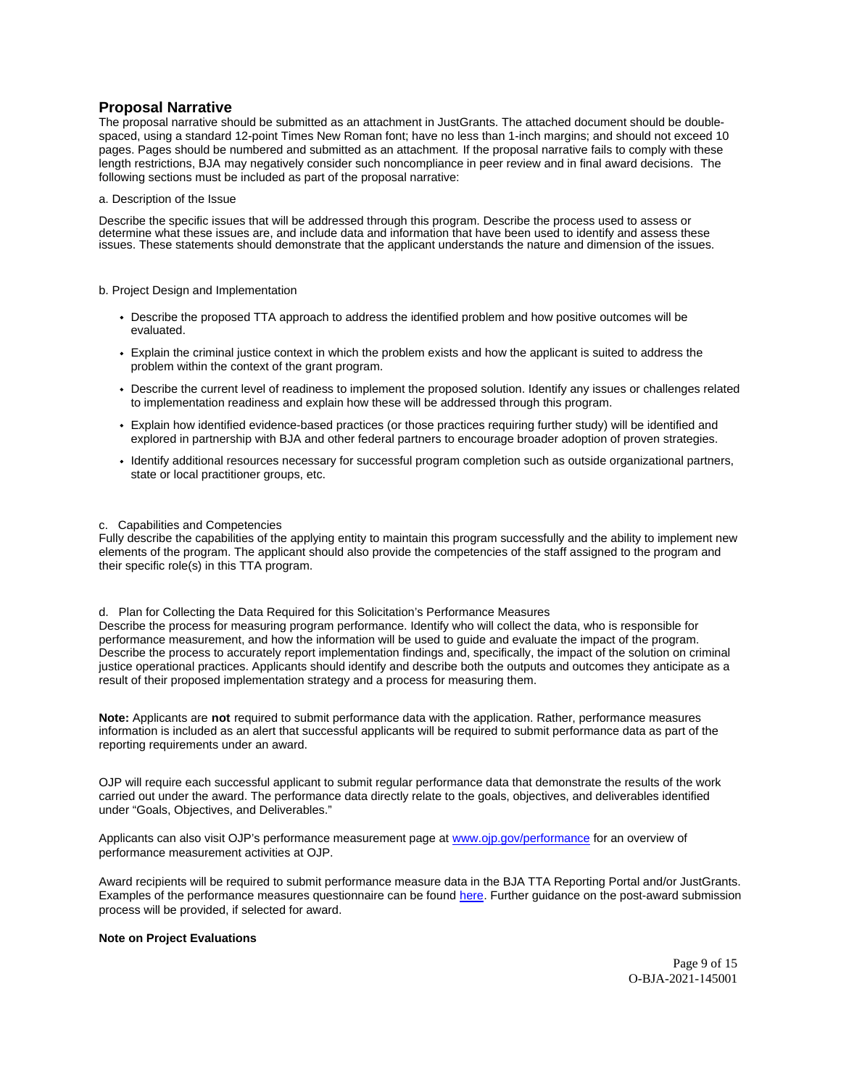## <span id="page-8-0"></span>**Proposal Narrative**

The proposal narrative should be submitted as an attachment in JustGrants. The attached document should be doublespaced, using a standard 12-point Times New Roman font; have no less than 1-inch margins; and should not exceed 10 pages. Pages should be numbered and submitted as an attachment. If the proposal narrative fails to comply with these length restrictions, BJA may negatively consider such noncompliance in peer review and in final award decisions. The following sections must be included as part of the proposal narrative:

a. Description of the Issue

Describe the specific issues that will be addressed through this program. Describe the process used to assess or determine what these issues are, and include data and information that have been used to identify and assess these issues. These statements should demonstrate that the applicant understands the nature and dimension of the issues.

#### b. Project Design and Implementation

- Describe the proposed TTA approach to address the identified problem and how positive outcomes will be evaluated.
- Explain the criminal justice context in which the problem exists and how the applicant is suited to address the problem within the context of the grant program.
- Describe the current level of readiness to implement the proposed solution. Identify any issues or challenges related to implementation readiness and explain how these will be addressed through this program.
- Explain how identified evidence-based practices (or those practices requiring further study) will be identified and explored in partnership with BJA and other federal partners to encourage broader adoption of proven strategies.
- Identify additional resources necessary for successful program completion such as outside organizational partners, state or local practitioner groups, etc.

#### c. Capabilities and Competencies

Fully describe the capabilities of the applying entity to maintain this program successfully and the ability to implement new elements of the program. The applicant should also provide the competencies of the staff assigned to the program and their specific role(s) in this TTA program.

d. Plan for Collecting the Data Required for this Solicitation's Performance Measures Describe the process for measuring program performance. Identify who will collect the data, who is responsible for

performance measurement, and how the information will be used to guide and evaluate the impact of the program. Describe the process to accurately report implementation findings and, specifically, the impact of the solution on criminal justice operational practices. Applicants should identify and describe both the outputs and outcomes they anticipate as a result of their proposed implementation strategy and a process for measuring them.

**Note:** Applicants are **not** required to submit performance data with the application. Rather, performance measures information is included as an alert that successful applicants will be required to submit performance data as part of the reporting requirements under an award.

OJP will require each successful applicant to submit regular performance data that demonstrate the results of the work carried out under the award. The performance data directly relate to the goals, objectives, and deliverables identified under "Goals, Objectives, and Deliverables."

Applicants can also visit OJP's performance measurement page at [www.ojp.gov/performance](https://www.ojp.gov/performance) for an overview of performance measurement activities at OJP.

Award recipients will be required to submit performance measure data in the BJA TTA Reporting Portal and/or JustGrants. Examples of the performance measures questionnaire can be found [here.](https://bjatta.bja.ojp.gov/sites/default/files/interest_groups/TTA%20Reporting%20Portal%20Data%20Dictionary_0.pdf) Further guidance on the post-award submission process will be provided, if selected for award.

#### **Note on Project Evaluations**

Page 9 of 15 O-BJA-2021-145001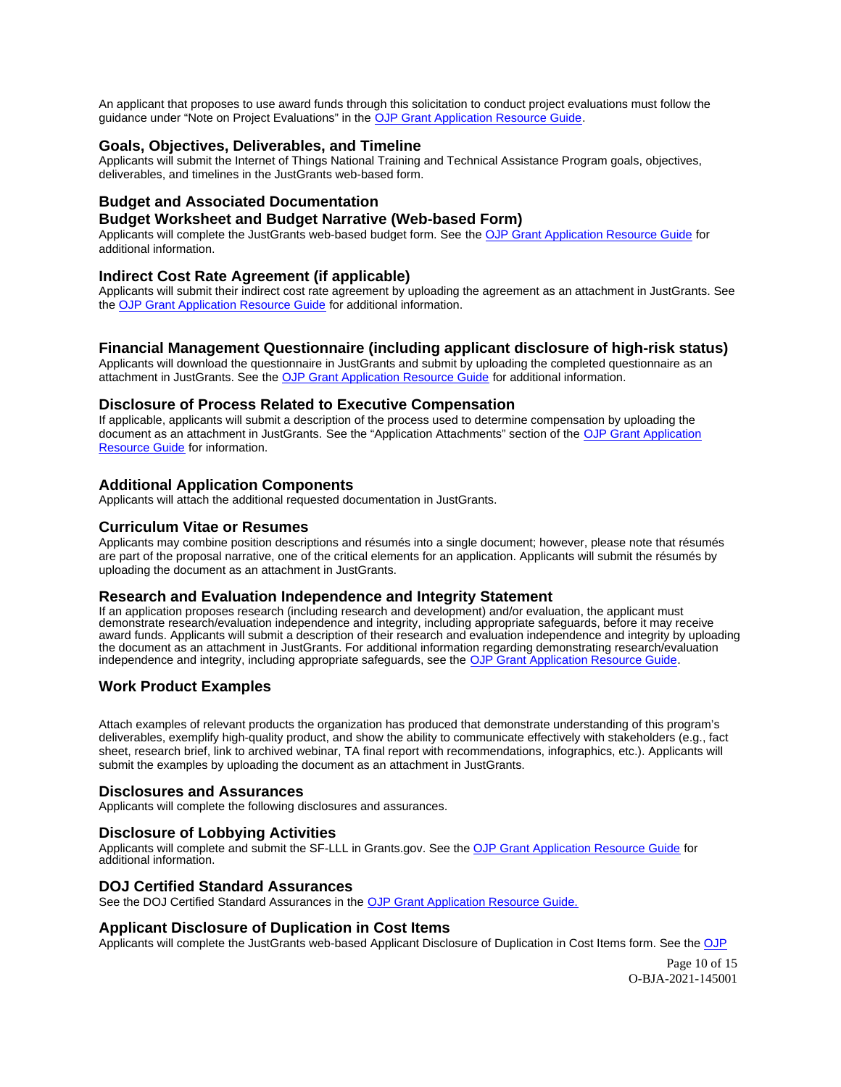<span id="page-9-0"></span>An applicant that proposes to use award funds through this solicitation to conduct project evaluations must follow the guidance under "Note on Project Evaluations" in the [OJP Grant Application Resource Guide.](https://www.ojp.gov/funding/Apply/Resources/Grant-App-Resource-Guide.htm)

## **Goals, Objectives, Deliverables, and Timeline**

Applicants will submit the Internet of Things National Training and Technical Assistance Program goals, objectives, deliverables, and timelines in the JustGrants web-based form.

## **Budget and Associated Documentation**

## **Budget Worksheet and Budget Narrative (Web-based Form)**

Applicants will complete the JustGrants web-based budget form. See the [OJP Grant Application Resource Guide](https://www.ojp.gov/funding/apply/ojp-grant-application-resource-guide#budget-prep) for additional information.

### **Indirect Cost Rate Agreement (if applicable)**

Applicants will submit their indirect cost rate agreement by uploading the agreement as an attachment in JustGrants. See the [OJP Grant Application Resource Guide](https://www.ojp.gov/funding/apply/ojp-grant-application-resource-guide#budget-prep) for additional information.

### **Financial Management Questionnaire (including applicant disclosure of high-risk status)**

Applicants will download the questionnaire in JustGrants and submit by uploading the completed questionnaire as an attachment in JustGrants. See the [OJP Grant Application Resource Guide](https://www.ojp.gov/funding/apply/ojp-grant-application-resource-guide#fm-internal-controls-questionnaire) for additional information.

#### **Disclosure of Process Related to Executive Compensation**

If applicable, applicants will submit a description of the process used to determine compensation by uploading the document as an attachment in JustGrants. See the "Application Attachments" section of the [OJP Grant Application](https://www.ojp.gov/funding/apply/ojp-grant-application-resource-guide#application-attachments)  [Resource Guide](https://www.ojp.gov/funding/apply/ojp-grant-application-resource-guide#application-attachments) for information.

## **Additional Application Components**

Applicants will attach the additional requested documentation in JustGrants.

### **Curriculum Vitae or Resumes**

Applicants may combine position descriptions and résumés into a single document; however, please note that résumés are part of the proposal narrative, one of the critical elements for an application. Applicants will submit the résumés by uploading the document as an attachment in JustGrants.

## **Research and Evaluation Independence and Integrity Statement**

If an application proposes research (including research and development) and/or evaluation, the applicant must demonstrate research/evaluation independence and integrity, including appropriate safeguards, before it may receive award funds. Applicants will submit a description of their research and evaluation independence and integrity by uploading the document as an attachment in JustGrants. For additional information regarding demonstrating research/evaluation independence and integrity, including appropriate safeguards, see the [OJP Grant Application Resource Guide.](https://www.ojp.gov/funding/apply/ojp-grant-application-resource-guide#research-evaluation)

## **Work Product Examples**

Attach examples of relevant products the organization has produced that demonstrate understanding of this program's deliverables, exemplify high-quality product, and show the ability to communicate effectively with stakeholders (e.g., fact sheet, research brief, link to archived webinar, TA final report with recommendations, infographics, etc.). Applicants will submit the examples by uploading the document as an attachment in JustGrants.

#### **Disclosures and Assurances**

Applicants will complete the following disclosures and assurances.

### **Disclosure of Lobbying Activities**

Applicants will complete and submit the SF-LLL in [Grants.gov.](https://Grants.gov) See the [OJP Grant Application Resource Guide](https://www.ojp.gov/funding/apply/ojp-grant-application-resource-guide#apply) for additional information.

#### **DOJ Certified Standard Assurances**

See the DOJ Certified Standard Assurances in the [OJP Grant Application Resource Guide.](https://www.ojp.gov/funding/apply/ojp-grant-application-resource-guide#administrative) 

### **Applicant Disclosure of Duplication in Cost Items**

Applicants will complete the JustGrants web-based Applicant Disclosure of Duplication in Cost Items form. See the [OJP](https://www.ojp.gov/funding/apply/ojp-grant-application-resource-guide#applicant-disclosure-pending-applications) 

Page 10 of 15 O-BJA-2021-145001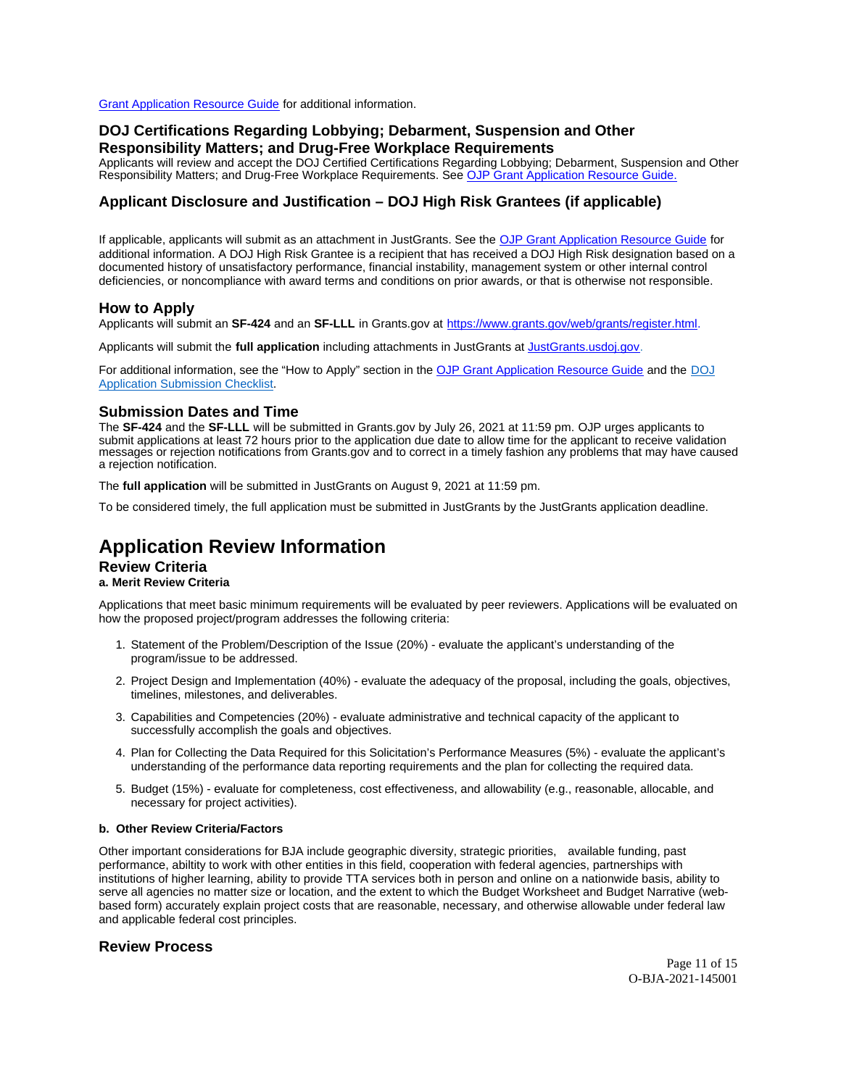<span id="page-10-0"></span>[Grant Application Resource Guide](https://www.ojp.gov/funding/apply/ojp-grant-application-resource-guide#applicant-disclosure-pending-applications) for additional information.

## **DOJ Certifications Regarding Lobbying; Debarment, Suspension and Other Responsibility Matters; and Drug-Free Workplace Requirements**

Applicants will review and accept the DOJ Certified Certifications Regarding Lobbying; Debarment, Suspension and Other Responsibility Matters; and Drug-Free Workplace Requirements. See [OJP Grant Application Resource Guide.](https://www.ojp.gov/funding/apply/ojp-grant-application-resource-guide#administrative) 

## **Applicant Disclosure and Justification – DOJ High Risk Grantees (if applicable)**

If applicable, applicants will submit as an attachment in JustGrants. See the [OJP Grant Application Resource Guide](https://www.ojp.gov/funding/apply/ojp-grant-application-resource-guide) for additional information. A DOJ High Risk Grantee is a recipient that has received a DOJ High Risk designation based on a documented history of unsatisfactory performance, financial instability, management system or other internal control deficiencies, or noncompliance with award terms and conditions on prior awards, or that is otherwise not responsible.

### **How to Apply**

Applicants will submit an **SF-424** and an **SF-LLL** in [Grants.gov](https://Grants.gov) at [https://www.grants.gov/web/grants/register.html.](https://www.grants.gov/web/grants/register.html)

Applicants will submit the **full application** including attachments in JustGrants at [JustGrants.usdoj.gov.](https://justicegrants.usdoj.gov/)

For additional information, see the "How to Apply" section in the [OJP Grant Application Resource Guide](https://www.ojp.gov/funding/apply/ojp-grant-application-resource-guide#apply) and the [DOJ](https://justicegrants.usdoj.gov/sites/g/files/xyckuh296/files/media/document/appln-submission-checklist.pdf)  [Application Submission Checklist.](https://justicegrants.usdoj.gov/sites/g/files/xyckuh296/files/media/document/appln-submission-checklist.pdf)

## **Submission Dates and Time**

The **SF-424** and the **SF-LLL** will be submitted in [Grants.gov](https://Grants.gov) by July 26, 2021 at 11:59 pm. OJP urges applicants to submit applications at least 72 hours prior to the application due date to allow time for the applicant to receive validation messages or rejection notifications from [Grants.gov](https://Grants.gov) and to correct in a timely fashion any problems that may have caused a rejection notification.

The **full application** will be submitted in JustGrants on August 9, 2021 at 11:59 pm.

To be considered timely, the full application must be submitted in JustGrants by the JustGrants application deadline.

# **Application Review Information**

## **Review Criteria**

### **a. Merit Review Criteria**

Applications that meet basic minimum requirements will be evaluated by peer reviewers. Applications will be evaluated on how the proposed project/program addresses the following criteria:

- 1. Statement of the Problem/Description of the Issue (20%) evaluate the applicant's understanding of the program/issue to be addressed.
- 2. Project Design and Implementation (40%) evaluate the adequacy of the proposal, including the goals, objectives, timelines, milestones, and deliverables.
- 3. Capabilities and Competencies (20%) evaluate administrative and technical capacity of the applicant to successfully accomplish the goals and objectives.
- 4. Plan for Collecting the Data Required for this Solicitation's Performance Measures (5%) evaluate the applicant's understanding of the performance data reporting requirements and the plan for collecting the required data.
- 5. Budget (15%) evaluate for completeness, cost effectiveness, and allowability (e.g., reasonable, allocable, and necessary for project activities).

#### **b. Other Review Criteria/Factors**

Other important considerations for BJA include geographic diversity, strategic priorities, available funding, past performance, abiltity to work with other entities in this field, cooperation with federal agencies, partnerships with institutions of higher learning, ability to provide TTA services both in person and online on a nationwide basis, ability to serve all agencies no matter size or location, and the extent to which the Budget Worksheet and Budget Narrative (webbased form) accurately explain project costs that are reasonable, necessary, and otherwise allowable under federal law and applicable federal cost principles.

### **Review Process**

Page 11 of 15 O-BJA-2021-145001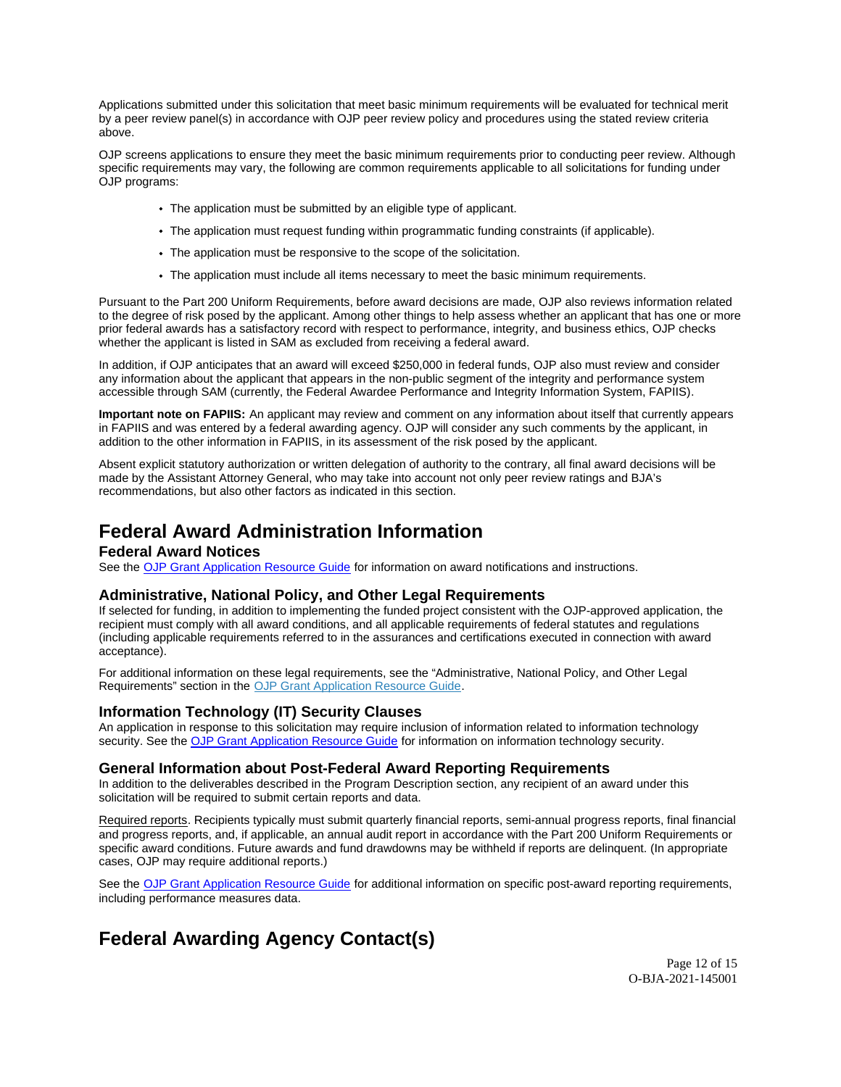<span id="page-11-0"></span>Applications submitted under this solicitation that meet basic minimum requirements will be evaluated for technical merit by a peer review panel(s) in accordance with OJP peer review policy and procedures using the stated review criteria above.

OJP screens applications to ensure they meet the basic minimum requirements prior to conducting peer review. Although specific requirements may vary, the following are common requirements applicable to all solicitations for funding under OJP programs:

- The application must be submitted by an eligible type of applicant.
- The application must request funding within programmatic funding constraints (if applicable).
- The application must be responsive to the scope of the solicitation.
- The application must include all items necessary to meet the basic minimum requirements.

Pursuant to the Part 200 Uniform Requirements, before award decisions are made, OJP also reviews information related to the degree of risk posed by the applicant. Among other things to help assess whether an applicant that has one or more prior federal awards has a satisfactory record with respect to performance, integrity, and business ethics, OJP checks whether the applicant is listed in SAM as excluded from receiving a federal award.

In addition, if OJP anticipates that an award will exceed \$250,000 in federal funds, OJP also must review and consider any information about the applicant that appears in the non-public segment of the integrity and performance system accessible through SAM (currently, the Federal Awardee Performance and Integrity Information System, FAPIIS).

**Important note on FAPIIS:** An applicant may review and comment on any information about itself that currently appears in FAPIIS and was entered by a federal awarding agency. OJP will consider any such comments by the applicant, in addition to the other information in FAPIIS, in its assessment of the risk posed by the applicant.

Absent explicit statutory authorization or written delegation of authority to the contrary, all final award decisions will be made by the Assistant Attorney General, who may take into account not only peer review ratings and BJA's recommendations, but also other factors as indicated in this section.

# **Federal Award Administration Information**

## **Federal Award Notices**

See the [OJP Grant Application Resource Guide](https://www.ojp.gov/funding/apply/ojp-grant-application-resource-guide#federal-award-notices) for information on award notifications and instructions.

## **Administrative, National Policy, and Other Legal Requirements**

If selected for funding, in addition to implementing the funded project consistent with the OJP-approved application, the recipient must comply with all award conditions, and all applicable requirements of federal statutes and regulations (including applicable requirements referred to in the assurances and certifications executed in connection with award acceptance).

For additional information on these legal requirements, see the "Administrative, National Policy, and Other Legal Requirements" section in the [OJP Grant Application Resource Guide.](https://www.ojp.gov/funding/apply/ojp-grant-application-resource-guide#administrative)

## **Information Technology (IT) Security Clauses**

An application in response to this solicitation may require inclusion of information related to information technology security. See the [OJP Grant Application Resource Guide](https://www.ojp.gov/funding/apply/ojp-grant-application-resource-guide#information-technology) for information on information technology security.

### **General Information about Post-Federal Award Reporting Requirements**

In addition to the deliverables described in the Program Description section, any recipient of an award under this solicitation will be required to submit certain reports and data.

Required reports. Recipients typically must submit quarterly financial reports, semi-annual progress reports, final financial and progress reports, and, if applicable, an annual audit report in accordance with the Part 200 Uniform Requirements or specific award conditions. Future awards and fund drawdowns may be withheld if reports are delinquent. (In appropriate cases, OJP may require additional reports.)

See the [OJP Grant Application Resource Guide](https://www.ojp.gov/funding/Apply/Resources/Grant-App-Resource-Guide.htm) for additional information on specific post-award reporting requirements, including performance measures data.

# **Federal Awarding Agency Contact(s)**

Page 12 of 15 O-BJA-2021-145001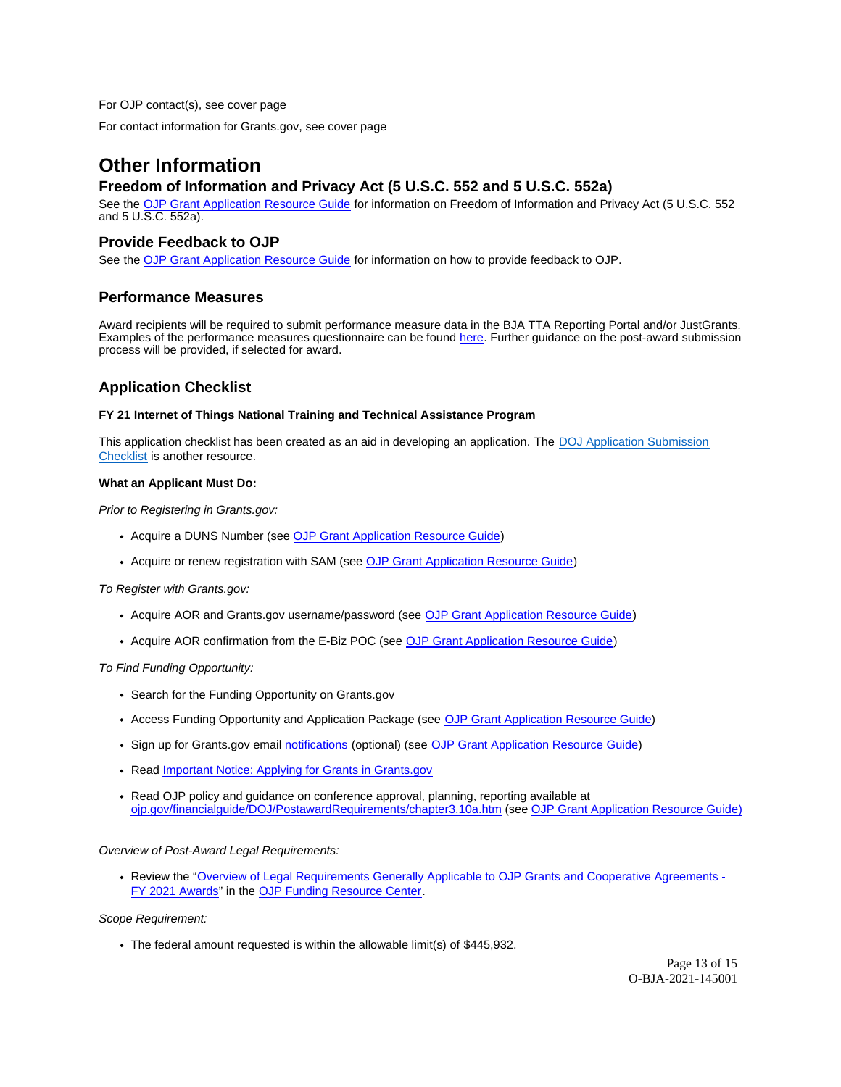<span id="page-12-0"></span>For OJP contact(s), see cover page

For contact information for [Grants.gov,](https://Grants.gov) see cover page

# **Other Information**

## **Freedom of Information and Privacy Act (5 U.S.C. 552 and 5 U.S.C. 552a)**

See the [OJP Grant Application Resource Guide](https://www.ojp.gov/funding/apply/ojp-grant-application-resource-guide#foia) for information on Freedom of Information and Privacy Act (5 U.S.C. 552 and 5 U.S.C. 552a).

## **Provide Feedback to OJP**

See the [OJP Grant Application Resource Guide](https://www.ojp.gov/funding/apply/ojp-grant-application-resource-guide#feedback) for information on how to provide feedback to OJP.

## **Performance Measures**

Award recipients will be required to submit performance measure data in the BJA TTA Reporting Portal and/or JustGrants. Examples of the performance measures questionnaire can be found [here.](https://bjatta.bja.ojp.gov/sites/default/files/interest_groups/TTA%20Reporting%20Portal%20Data%20Dictionary_0.pdf) Further guidance on the post-award submission process will be provided, if selected for award.

## **Application Checklist**

#### **FY 21 Internet of Things National Training and Technical Assistance Program**

This application checklist has been created as an aid in developing an application. The DOJ Application Submission [Checklist](https://justicegrants.usdoj.gov/sites/g/files/xyckuh296/files/media/document/appln-submission-checklist.pdf) is another resource.

#### **What an Applicant Must Do:**

Prior to Registering in [Grants.gov:](https://Grants.gov)

- Acquire a DUNS Number (see [OJP Grant Application Resource Guide\)](https://www.ojp.gov/funding/apply/ojp-grant-application-resource-guide#apply)
- Acquire or renew registration with SAM (see [OJP Grant Application Resource Guide\)](https://www.ojp.gov/funding/apply/ojp-grant-application-resource-guide#apply)

To Register with [Grants.gov](https://Grants.gov):

- Acquire AOR and [Grants.gov](https://Grants.gov) username/password (see [OJP Grant Application Resource Guide\)](https://www.ojp.gov/funding/apply/ojp-grant-application-resource-guide#apply)
- Acquire AOR confirmation from the E-Biz POC (see [OJP Grant Application Resource Guide\)](https://www.ojp.gov/funding/apply/ojp-grant-application-resource-guide#apply)

To Find Funding Opportunity:

- Search for the Funding Opportunity on [Grants.gov](https://Grants.gov)
- Access Funding Opportunity and Application Package (see [OJP Grant Application Resource Guide\)](https://www.ojp.gov/funding/apply/ojp-grant-application-resource-guide#apply)
- Sign up for [Grants.gov](https://Grants.gov) email [notifications](https://www.grants.gov/web/grants/manage-subscriptions.html) (optional) (see OJP Grant Application Resource Guide)
- Read Important Notice: Applying for Grants in Grants.gov
- Read OJP policy and quidance on conference approval, planning, reporting available at [ojp.gov/financialguide/DOJ/PostawardRequirements/chapter3.10a.htm \(](https://ojp.gov/financialguide/DOJ/PostawardRequirements/chapter3.10a.htm)see [OJP Grant Application Resource Guide](https://www.ojp.gov/funding/apply/ojp-grant-application-resource-guide#prior-approval))

Overview of Post-Award Legal Requirements:

Review the "[Overview of Legal Requirements Generally Applicable to OJP Grants and Cooperative Agreements -](https://www.ojp.gov/funding/explore/legal-overview-fy-2021-awards) [FY 2021 Awards"](https://www.ojp.gov/funding/explore/legal-overview-fy-2021-awards) in the [OJP Funding Resource Center.](https://www.ojp.gov/funding/index.htm)

Scope Requirement:

The federal amount requested is within the allowable limit(s) of \$445,932.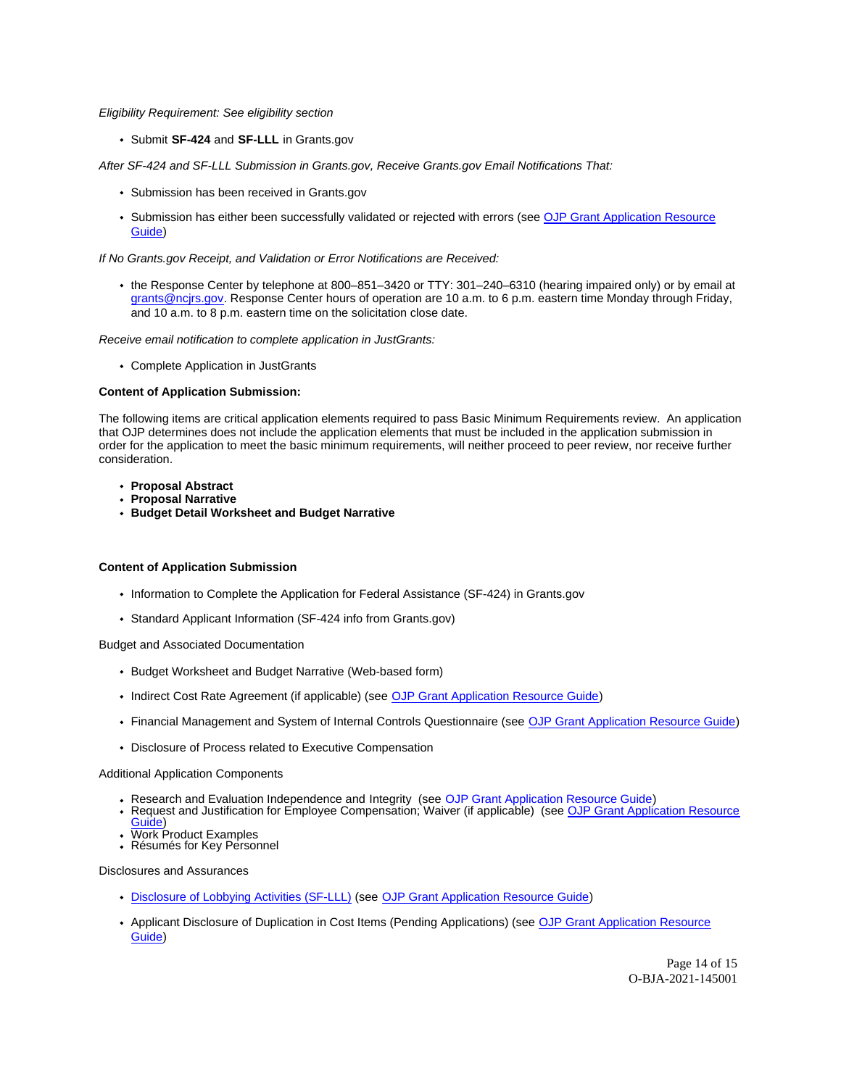Eligibility Requirement: See eligibility section

Submit **SF-424** and **SF-LLL** in [Grants.gov](https://Grants.gov) 

After SF-424 and SF-LLL Submission in [Grants.gov,](https://Grants.gov) Receive [Grants.gov](https://Grants.gov) Email Notifications That:

- Submission has been received in [Grants.gov](https://Grants.gov)
- Submission has either been successfully validated or rejected with errors (see [OJP Grant Application Resource](https://www.ojp.gov/funding/apply/ojp-grant-application-resource-guide#apply)  [Guide\)](https://www.ojp.gov/funding/apply/ojp-grant-application-resource-guide#apply)

If No [Grants.gov](https://Grants.gov) Receipt, and Validation or Error Notifications are Received:

the Response Center by telephone at 800–851–3420 or TTY: 301–240–6310 (hearing impaired only) or by email at [grants@ncjrs.gov.](mailto:grants@ncjrs.gov) Response Center hours of operation are 10 a.m. to 6 p.m. eastern time Monday through Friday, and 10 a.m. to 8 p.m. eastern time on the solicitation close date.

Receive email notification to complete application in JustGrants:

Complete Application in JustGrants

#### **Content of Application Submission:**

The following items are critical application elements required to pass Basic Minimum Requirements review. An application that OJP determines does not include the application elements that must be included in the application submission in order for the application to meet the basic minimum requirements, will neither proceed to peer review, nor receive further consideration.

- **Proposal Abstract**
- **Proposal Narrative**
- **Budget Detail Worksheet and Budget Narrative**

#### **Content of Application Submission**

- Information to Complete the Application for Federal Assistance (SF-424) in Grants.gov
- Standard Applicant Information (SF-424 info from [Grants.gov\)](https://Grants.gov)

#### Budget and Associated Documentation

- Budget Worksheet and Budget Narrative (Web-based form)
- Indirect Cost Rate Agreement (if applicable) (see [OJP Grant Application Resource Guide\)](https://www.ojp.gov/funding/apply/ojp-grant-application-resource-guide#indirect-cost)
- Financial Management and System of Internal Controls Questionnaire (see [OJP Grant Application Resource Guide\)](https://www.ojp.gov/funding/apply/ojp-grant-application-resource-guide#fm-internal-controls-questionnaire)
- Disclosure of Process related to Executive Compensation

#### Additional Application Components

- Research and Evaluation Independence and Integrity (see [OJP Grant Application Resource Guide\)](https://ojp.gov/funding/Apply/Resources/Grant-App-Resource-Guide.htm)
- Request and Justification for Employee Compensation; Waiver (if applicable) (see OJP Grant Application Resource [Guide\)](https://ojp.gov/funding/Apply/Resources/Grant-App-Resource-Guide.htm)
- Work Product Examples Résumés for Key Personnel

#### Disclosures and Assurances

- [Disclosure of Lobbying Activities \(SF-LLL\)](https://ojp.gov/funding/Apply/Resources/Disclosure.pdf) (see [OJP Grant Application Resource Guide\)](https://www.ojp.gov/funding/apply/ojp-grant-application-resource-guide#apply)
- Applicant Disclosure of Duplication in Cost Items (Pending Applications) (see OJP Grant Application Resource [Guide\)](https://www.ojp.gov/funding/apply/ojp-grant-application-resource-guide#applicant-disclosure-pending-applications)

Page 14 of 15 O-BJA-2021-145001